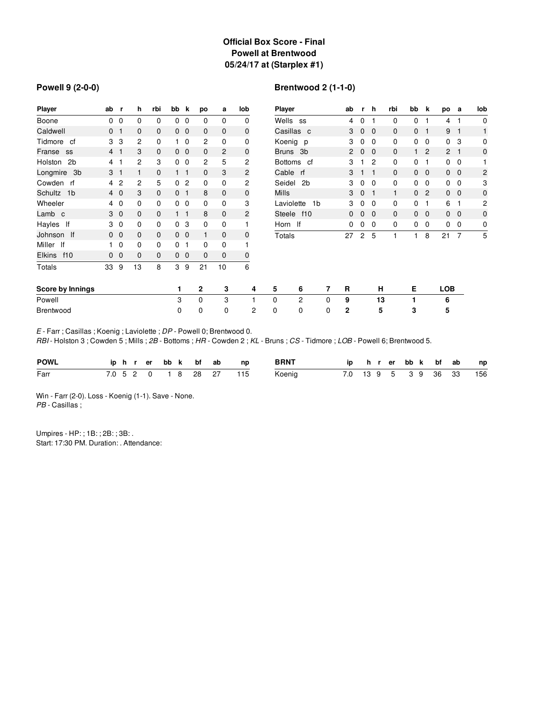## **Official Box Score - Final Powell at Brentwood 05/24/17 at (Starplex #1)**

#### **Powell 9 (2-0-0)**

# **Brentwood 2 (1-1-0)**

| <b>Player</b>             | ab             |                | h  | rbi | bb             | k              | po             | а              | lob            | <b>Player</b> |                              |   | ab           |              | h           | rbi          | bb           | k              | po           | а                        | lob            |
|---------------------------|----------------|----------------|----|-----|----------------|----------------|----------------|----------------|----------------|---------------|------------------------------|---|--------------|--------------|-------------|--------------|--------------|----------------|--------------|--------------------------|----------------|
| Boone                     | 0              | 0              | 0  | 0   | 0              | 0              | 0              | 0              | 0              | Wells ss      |                              |   | 4            | 0            | 1           | 0            | 0            |                | 4            | 1                        | $\mathbf 0$    |
| Caldwell                  | 0 <sub>1</sub> |                | 0  | 0   |                | 0 <sub>0</sub> | 0              | 0              | 0              |               | Casillas c                   |   | 3            | $\mathbf{0}$ | $\Omega$    | 0            | $\mathbf{0}$ | 1              | 9            | -1                       | 1              |
| Tidmore cf                | 3              | - 3            | 2  | 0   |                | $1\quad0$      | $\overline{c}$ | 0              | 0              |               | Koenig p                     |   | 3            | 0            | $\Omega$    | 0            | 0            | $\mathbf 0$    | 0            | 3                        | 0              |
| Franse ss                 | 4 <sub>1</sub> |                | 3  | 0   |                | $0\quad 0$     | $\mathbf{0}$   | $\overline{2}$ | $\mathbf 0$    |               | Bruns 3b                     |   | 2            | $\mathbf 0$  | $\mathbf 0$ | $\mathbf{0}$ | 1            | $\overline{2}$ | $\mathbf{2}$ | - 1                      | $\mathbf 0$    |
| 2 <sub>b</sub><br>Holston |                | 4 1            | 2  | 3   |                | 0 <sub>0</sub> | 2              | 5              | $\overline{c}$ |               | Bottoms cf                   |   | 3            |              | 2           | 0            | 0            | 1              |              | $0\quad 0$               |                |
| Longmire 3b               |                | 3 <sub>1</sub> |    | 0   |                | $1 \quad 1$    | $\mathbf{0}$   | 3              | $\overline{c}$ | Cable rf      |                              |   | 3            |              | 1           | $\mathbf{0}$ |              | $0\quad 0$     | $0\quad 0$   |                          | $\overline{c}$ |
| Cowden rf                 |                | 4 <sub>2</sub> | 2  | 5   | 0              | $\overline{c}$ | 0              | 0              | 2              | Seidel        | 2 <sub>b</sub>               |   | 3            | 0            | $\Omega$    | 0            | 0            | 0              | 0            | 0                        | 3              |
| Schultz<br>1 <sub>b</sub> | $4\quad0$      |                | 3  | 0   | 0 <sub>1</sub> |                | 8              | 0              | $\mathbf 0$    | <b>Mills</b>  |                              |   | 3            | $\mathbf 0$  | 1           | 1            | $\mathbf{0}$ | $\overline{2}$ |              | $0\quad 0$               | $\mathbf 0$    |
| Wheeler                   |                | 4 0            | 0  | 0   |                | 0 <sub>0</sub> | 0              | 0              | 3              |               | Laviolette<br>1 <sub>b</sub> |   | 3            | 0            | $\Omega$    | 0            | 0            | 1              | 6            | -1                       | 2              |
| Lamb c                    |                | 3 <sub>0</sub> | 0  | 0   |                | $1 \quad 1$    | 8              | 0              | $\overline{c}$ |               | Steele f10                   |   | 0            | $\mathbf 0$  | 0           | $\mathbf{0}$ | $\mathbf{0}$ | $\mathbf 0$    | $\mathbf 0$  | $\overline{\phantom{0}}$ | $\mathbf 0$    |
| lf<br>Hayles              |                | 3 0            | 0  | 0   | $\mathbf 0$    | 3              | 0              | 0              |                | Horn If       |                              |   | 0            | 0            | 0           | 0            | 0            | 0              | 0            | 0                        | 0              |
| Johnson If                |                | 0 <sub>0</sub> | 0  | 0   |                | 0 <sub>0</sub> | 1              | 0              | 0              | Totals        |                              |   | 27           | 2            | 5           | 1            | $\mathbf{1}$ | 8              | 21           | 7                        | 5              |
| Miller If                 |                | $\mathbf 0$    | 0  | 0   | 0              |                | 0              | 0              |                |               |                              |   |              |              |             |              |              |                |              |                          |                |
| <b>Elkins</b><br>f10      |                | $0\quad 0$     | 0  | 0   |                | 0 <sub>0</sub> | 0              | 0              | 0              |               |                              |   |              |              |             |              |              |                |              |                          |                |
| Totals                    | 33             | 9              | 13 | 8   | 3              | 9              | 21             | 10             | 6              |               |                              |   |              |              |             |              |              |                |              |                          |                |
| Score by Innings          |                |                |    |     | 1              |                | $\mathbf{2}$   | 3              | 4              | 5             | 6                            | 7 | R            |              | н           |              | E            |                | <b>LOB</b>   |                          |                |
| Powell                    |                |                |    |     | 3              |                | 0              | 3              |                | $\Omega$      | 2                            | 0 | 9            |              | 13          |              |              |                | 6            |                          |                |
| Brentwood                 |                |                |    |     | 0              |                | 0              | 0              | 2              | 0             | 0                            | 0 | $\mathbf{2}$ |              | 5           |              | 3            |                | 5            |                          |                |

*E* - Farr ; Casillas ; Koenig ; Laviolette ; *DP* - Powell 0; Brentwood 0.

*RBI* - Holston 3 ; Cowden 5 ; Mills ; *2B* - Bottoms ; *HR* - Cowden 2 ; *KL* - Bruns ; *CS* - Tidmore ; *LOB* - Powell 6; Brentwood 5.

| <b>POWL</b> |  |  |  |  | iphrerbbk bfab np       | BRNT   |  |  |  |  | ip hrerbbk bfab np       |
|-------------|--|--|--|--|-------------------------|--------|--|--|--|--|--------------------------|
| Farr        |  |  |  |  | 7.0 5 2 0 1 8 28 27 115 | Koenig |  |  |  |  | 7.0 13 9 5 3 9 36 33 156 |

Win - Farr (2-0). Loss - Koenig (1-1). Save - None. *PB* - Casillas ;

Umpires - HP: ; 1B: ; 2B: ; 3B: . Start: 17:30 PM. Duration: . Attendance: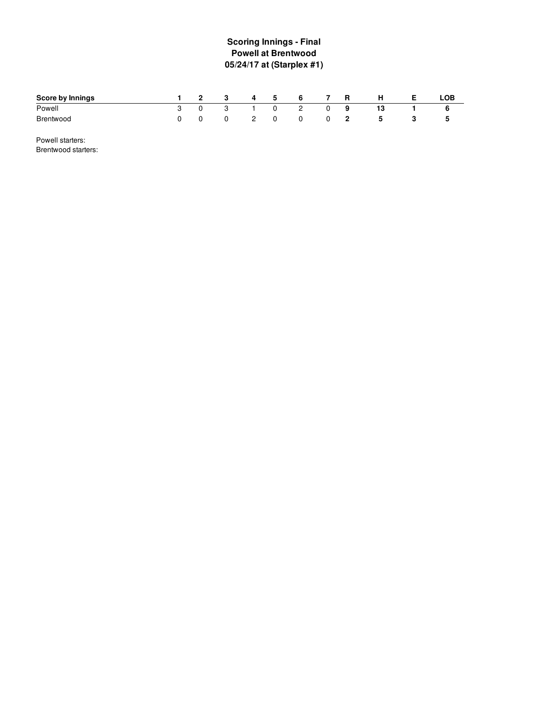# **S c o rin g In nin g s - Fin al Powell at Brentwood 0 5 / 2 4 /1 7 a t ( S ta r ple x # 1 )**

| Score by Innings | $\overline{2}$ | -3       | 4 | -5       | 6 | R | н | ∟OB∶ |
|------------------|----------------|----------|---|----------|---|---|---|------|
| Powell           |                |          |   |          | 2 | 9 |   |      |
| <b>Brentwood</b> |                | $\Omega$ |   | $\Omega$ | 0 | z | b | Б.   |

Powell starters: Brentwood starters: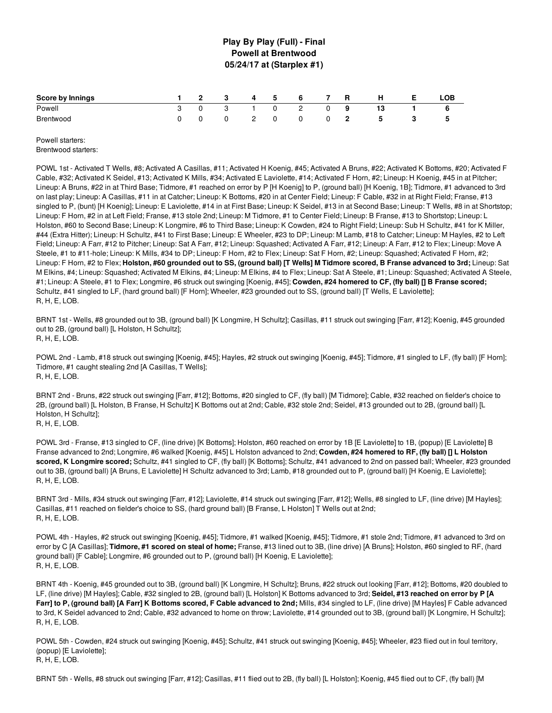## **Play By Play (Full) - Final Powell at Brentwood 05/24/17 at (Starplex #1)**

| <b>Score by Innings</b> | $\overline{\phantom{a}}$ 2 |   | 4 | 5 | 6              | R  | н | LOB |
|-------------------------|----------------------------|---|---|---|----------------|----|---|-----|
| Powell                  |                            | 3 |   | 0 | $\overline{2}$ |    |   |     |
| Brentwood               |                            | 0 | - |   | 0              | -2 | 5 |     |

Powell starters: Brentwood starters:

POWL 1st - Activated T Wells, #8; Activated A Casillas, #11; Activated H Koenig, #45; Activated A Bruns, #22; Activated K Bottoms, #20; Activated F Cable, #32; Activated K Seidel, #13; Activated K Mills, #34; Activated E Laviolette, #14; Activated F Horn, #2; Lineup: H Koenig, #45 in at Pitcher; Lineup: A Bruns, #22 in at Third Base; Tidmore, #1 reached on error by P [H Koenig] to P, (ground ball) [H Koenig, 1B]; Tidmore, #1 advanced to 3rd on last play; Lineup: A Casillas, #11 in at Catcher; Lineup: K Bottoms, #20 in at Center Field; Lineup: F Cable, #32 in at Right Field; Franse, #13 singled to P, (bunt) [H Koenig]; Lineup: E Laviolette, #14 in at First Base; Lineup: K Seidel, #13 in at Second Base; Lineup: T Wells, #8 in at Shortstop; Lineup: F Horn, #2 in at Left Field; Franse, #13 stole 2nd; Lineup: M Tidmore, #1 to Center Field; Lineup: B Franse, #13 to Shortstop; Lineup: L Holston, #60 to Second Base; Lineup: K Longmire, #6 to Third Base; Lineup: K Cowden, #24 to Right Field; Lineup: Sub H Schultz, #41 for K Miller, #44 (Extra Hitter); Lineup: H Schultz, #41 to First Base; Lineup: E Wheeler, #23 to DP; Lineup: M Lamb, #18 to Catcher; Lineup: M Hayles, #2 to Left Field; Lineup: A Farr, #12 to Pitcher; Lineup: Sat A Farr, #12; Lineup: Squashed; Activated A Farr, #12; Lineup: A Farr, #12 to Flex; Lineup: Move A Steele, #1 to #11-hole; Lineup: K Mills, #34 to DP; Lineup: F Horn, #2 to Flex; Lineup: Sat F Horn, #2; Lineup: Squashed; Activated F Horn, #2; Lineup: F Horn, #2 to Flex; Holston, #60 grounded out to SS, (ground ball) [T Wells] M Tidmore scored, B Franse advanced to 3rd; Lineup: Sat M Elkins, #4; Lineup: Squashed; Activated M Elkins, #4; Lineup: M Elkins, #4 to Flex; Lineup: Sat A Steele, #1; Lineup: Squashed; Activated A Steele, #1; Lineup: A Steele, #1 to Flex; Longmire, #6 struck out swinging [Koenig, #45]; **Cowden, #24 homered to CF, (fly ball) [] B Franse scored;** Schultz, #41 singled to LF, (hard ground ball) [F Horn]; Wheeler, #23 grounded out to SS, (ground ball) [T Wells, E Laviolette]; R, H, E, LOB.

BRNT 1st - Wells, #8 grounded out to 3B, (ground ball) [K Longmire, H Schultz]; Casillas, #11 struck out swinging [Farr, #12]; Koenig, #45 grounded out to 2B, (ground ball) [L Holston, H Schultz]; R, H, E, LOB.

POWL 2nd - Lamb, #18 struck out swinging [Koenig, #45]; Hayles, #2 struck out swinging [Koenig, #45]; Tidmore, #1 singled to LF, (fly ball) [F Horn]; Tidmore, #1 caught stealing 2nd [A Casillas, T Wells]; R, H, E, LOB.

BRNT 2nd - Bruns, #22 struck out swinging [Farr, #12]; Bottoms, #20 singled to CF, (fly ball) [M Tidmore]; Cable, #32 reached on fielder's choice to 2B, (ground ball) [L Holston, B Franse, H Schultz] K Bottoms out at 2nd; Cable, #32 stole 2nd; Seidel, #13 grounded out to 2B, (ground ball) [L Holston, H Schultz]; R, H, E, LOB.

POWL 3rd - Franse, #13 singled to CF, (line drive) [K Bottoms]; Holston, #60 reached on error by 1B [E Laviolette] to 1B, (popup) [E Laviolette] B Franse advanced to 2nd; Longmire, #6 walked [Koenig, #45] L Holston advanced to 2nd; **Cowden, #24 homered to RF, (fly ball) [] L Holston scored, K Longmire scored;** Schultz, #41 singled to CF, (fly ball) [K Bottoms]; Schultz, #41 advanced to 2nd on passed ball; Wheeler, #23 grounded out to 3B, (ground ball) [A Bruns, E Laviolette] H Schultz advanced to 3rd; Lamb, #18 grounded out to P, (ground ball) [H Koenig, E Laviolette]; R, H, E, LOB.

BRNT 3rd - Mills, #34 struck out swinging [Farr, #12]; Laviolette, #14 struck out swinging [Farr, #12]; Wells, #8 singled to LF, (line drive) [M Hayles]; Casillas, #11 reached on fielder's choice to SS, (hard ground ball) [B Franse, L Holston] T Wells out at 2nd; R, H, E, LOB.

POWL 4th - Hayles, #2 struck out swinging [Koenig, #45]; Tidmore, #1 walked [Koenig, #45]; Tidmore, #1 stole 2nd; Tidmore, #1 advanced to 3rd on error by C [A Casillas]; **Tidmore, #1 scored on steal of home;** Franse, #13 lined out to 3B, (line drive) [A Bruns]; Holston, #60 singled to RF, (hard ground ball) [F Cable]; Longmire, #6 grounded out to P, (ground ball) [H Koenig, E Laviolette]; R, H, E, LOB.

BRNT 4th - Koenig, #45 grounded out to 3B, (ground ball) [K Longmire, H Schultz]; Bruns, #22 struck out looking [Farr, #12]; Bottoms, #20 doubled to LF, (line drive) [M Hayles]; Cable, #32 singled to 2B, (ground ball) [L Holston] K Bottoms advanced to 3rd; **Seidel, #13 reached on error by P [A** Farr] to P, (ground ball) [A Farr] K Bottoms scored, F Cable advanced to 2nd; Mills, #34 singled to LF, (line drive) [M Hayles] F Cable advanced to 3rd, K Seidel advanced to 2nd; Cable, #32 advanced to home on throw; Laviolette, #14 grounded out to 3B, (ground ball) [K Longmire, H Schultz]; R, H, E, LOB.

POWL 5th - Cowden, #24 struck out swinging [Koenig, #45]; Schultz, #41 struck out swinging [Koenig, #45]; Wheeler, #23 flied out in foul territory, (popup) [E Laviolette]; R, H, E, LOB.

BRNT 5th - Wells, #8 struck out swinging [Farr, #12]; Casillas, #11 flied out to 2B, (fly ball) [L Holston]; Koenig, #45 flied out to CF, (fly ball) [M